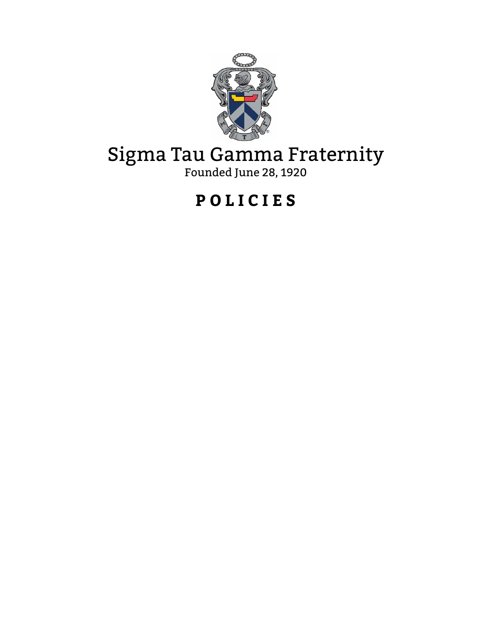

# Sigma Tau Gamma Fraternity

Founded June 28, 1920

## **P O L I C I E S**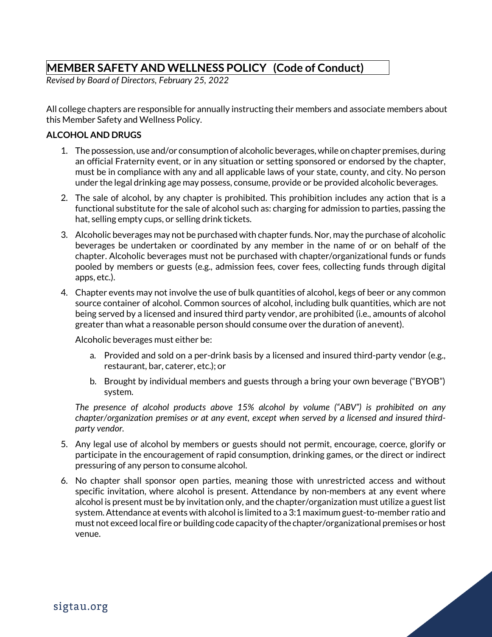### **MEMBER SAFETY AND WELLNESS POLICY (Code of Conduct)**

*Revised by Board of Directors, February 25, 2022*

All college chapters are responsible for annually instructing their members and associate members about this Member Safety and Wellness Policy.

#### **ALCOHOL AND DRUGS**

- 1. The possession, use and/or consumption of alcoholic beverages,while on chapter premises, during an official Fraternity event, or in any situation or setting sponsored or endorsed by the chapter, must be in compliance with any and all applicable laws of your state, county, and city. No person under the legal drinking age may possess, consume, provide or be provided alcoholic beverages.
- 2. The sale of alcohol, by any chapter is prohibited. This prohibition includes any action that is a functional substitute for the sale of alcohol such as: charging for admission to parties, passing the hat, selling empty cups, or selling drink tickets.
- 3. Alcoholic beverages may not be purchased with chapter funds. Nor, may the purchase of alcoholic beverages be undertaken or coordinated by any member in the name of or on behalf of the chapter. Alcoholic beverages must not be purchased with chapter/organizational funds or funds pooled by members or guests (e.g., admission fees, cover fees, collecting funds through digital apps, etc.).
- 4. Chapter events may not involve the use of bulk quantities of alcohol, kegs of beer or any common source container of alcohol. Common sources of alcohol, including bulk quantities, which are not being served by a licensed and insured third party vendor, are prohibited (i.e., amounts of alcohol greater than what a reasonable person should consume over the duration of anevent).

Alcoholic beverages must either be:

- a. Provided and sold on a per-drink basis by a licensed and insured third-party vendor (e.g., restaurant, bar, caterer, etc.); or
- b. Brought by individual members and guests through a bring your own beverage ("BYOB") system.

*The presence of alcohol products above 15% alcohol by volume ("ABV") is prohibited on any chapter/organization premises or at any event, except when served by a licensed and insured thirdparty vendor.*

- 5. Any legal use of alcohol by members or guests should not permit, encourage, coerce, glorify or participate in the encouragement of rapid consumption, drinking games, or the direct or indirect pressuring of any person to consume alcohol.
- 6. No chapter shall sponsor open parties, meaning those with unrestricted access and without specific invitation, where alcohol is present. Attendance by non-members at any event where alcohol is present must be by invitation only, and the chapter/organization must utilize a guest list system.Attendance at events with alcohol is limited to a 3:1 maximum guest-to-member ratio and must not exceed localfire or building code capacity ofthe chapter/organizational premises or host venue.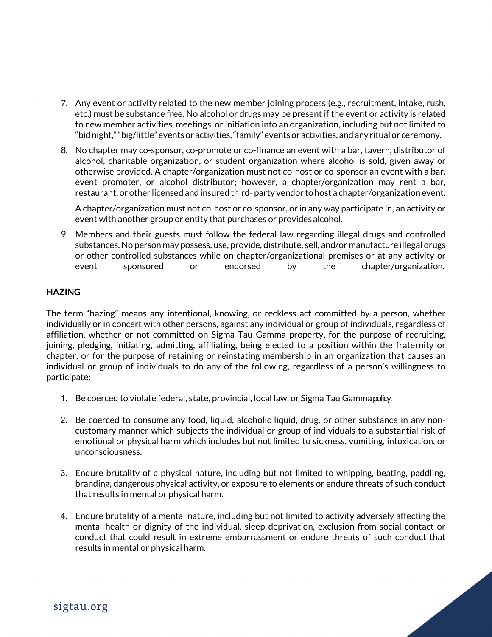- 7. Any event or activity related to the new member joining process (e.g., recruitment, intake, rush, etc.) must be substance free. No alcohol or drugs may be present if the event or activity is related to new member activities, meetings, or initiation into an organization, including but not limited to "bidnight,""big/little" eventsor activities,"family"eventsor activities, andanyritualor ceremony.
- 8. No chapter may co-sponsor, co-promote or co-finance an event with a bar, tavern, distributor of alcohol, charitable organization, or student organization where alcohol is sold, given away or otherwise provided. A chapter/organization must not co-host or co-sponsor an event with a bar, event promoter, or alcohol distributor; however, a chapter/organization may rent a bar, restaurant, or other licensed and insured third- party vendor to host a chapter/organization event.

A chapter/organization must not co-host or co-sponsor, or in any way participate in, an activity or event with another group or entity that purchases or provides alcohol.

9. Members and their guests must follow the federal law regarding illegal drugs and controlled substances. No person may possess, use, provide, distribute, sell, and/or manufacture illegal drugs or other controlled substances while on chapter/organizational premises or at any activity or event sponsored or endorsed by the chapter/organization.

#### **HAZING**

The term "hazing" means any intentional, knowing, or reckless act committed by a person, whether individually or in concert with other persons, against any individual or group of individuals, regardless of affiliation, whether or not committed on Sigma Tau Gamma property, for the purpose of recruiting, joining, pledging, initiating, admitting, affiliating, being elected to a position within the fraternity or chapter, or for the purpose of retaining or reinstating membership in an organization that causes an individual or group of individuals to do any of the following, regardless of a person's willingness to participate:

- 1. Be coerced to violate federal, state, provincial, local law, or Sigma Tau Gammapolicy.
- 2. Be coerced to consume any food, liquid, alcoholic liquid, drug, or other substance in any noncustomary manner which subjects the individual or group of individuals to a substantial risk of emotional or physical harm which includes but not limited to sickness, vomiting, intoxication, or unconsciousness.
- 3. Endure brutality of a physical nature, including but not limited to whipping, beating, paddling, branding, dangerous physical activity, or exposure to elements or endure threats of such conduct that results in mental or physical harm.
- 4. Endure brutality of a mental nature, including but not limited to activity adversely affecting the mental health or dignity of the individual, sleep deprivation, exclusion from social contact or conduct that could result in extreme embarrassment or endure threats of such conduct that results in mental or physical harm.